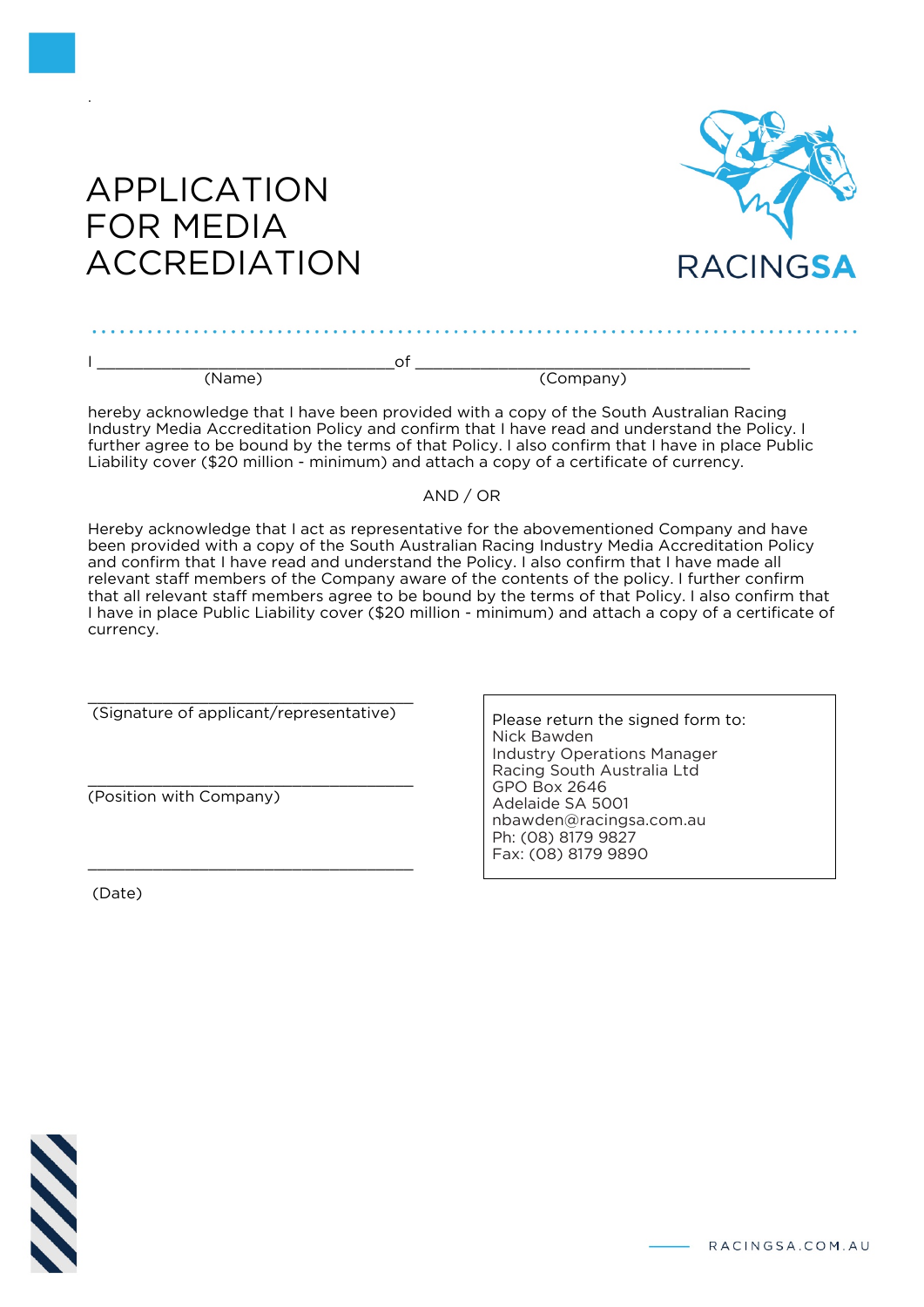

# APPLICATION FOR MEDIA ACCREDIATION

.

. . . . . . . . . . . . . . . . . .

hereby acknowledge that I have been provided with a copy of the South Australian Racing Industry Media Accreditation Policy and confirm that I have read and understand the Policy. I further agree to be bound by the terms of that Policy. I also confirm that I have in place Public Liability cover (\$20 million - minimum) and attach a copy of a certificate of currency.

## AND / OR

Hereby acknowledge that I act as representative for the abovementioned Company and have been provided with a copy of the South Australian Racing Industry Media Accreditation Policy and confirm that I have read and understand the Policy. I also confirm that I have made all relevant staff members of the Company aware of the contents of the policy. I further confirm that all relevant staff members agree to be bound by the terms of that Policy. I also confirm that I have in place Public Liability cover (\$20 million - minimum) and attach a copy of a certificate of currency.

\_\_\_\_\_\_\_\_\_\_\_\_\_\_\_\_\_\_\_\_\_\_\_\_\_\_\_\_\_\_\_\_\_\_\_ (Signature of applicant/representative)

\_\_\_\_\_\_\_\_\_\_\_\_\_\_\_\_\_\_\_\_\_\_\_\_\_\_\_\_\_\_\_\_\_\_\_

\_\_\_\_\_\_\_\_\_\_\_\_\_\_\_\_\_\_\_\_\_\_\_\_\_\_\_\_\_\_\_\_\_\_\_ (Position with Company)

(Date)

Please return the signed form to: Nick Bawden Industry Operations Manager Racing South Australia Ltd GPO Box 2646 Adelaide SA 5001 nbawden@racingsa.com.au Ph: (08) 8179 9827 Fax: (08) 8179 9890



- RACINGSA.COM.AU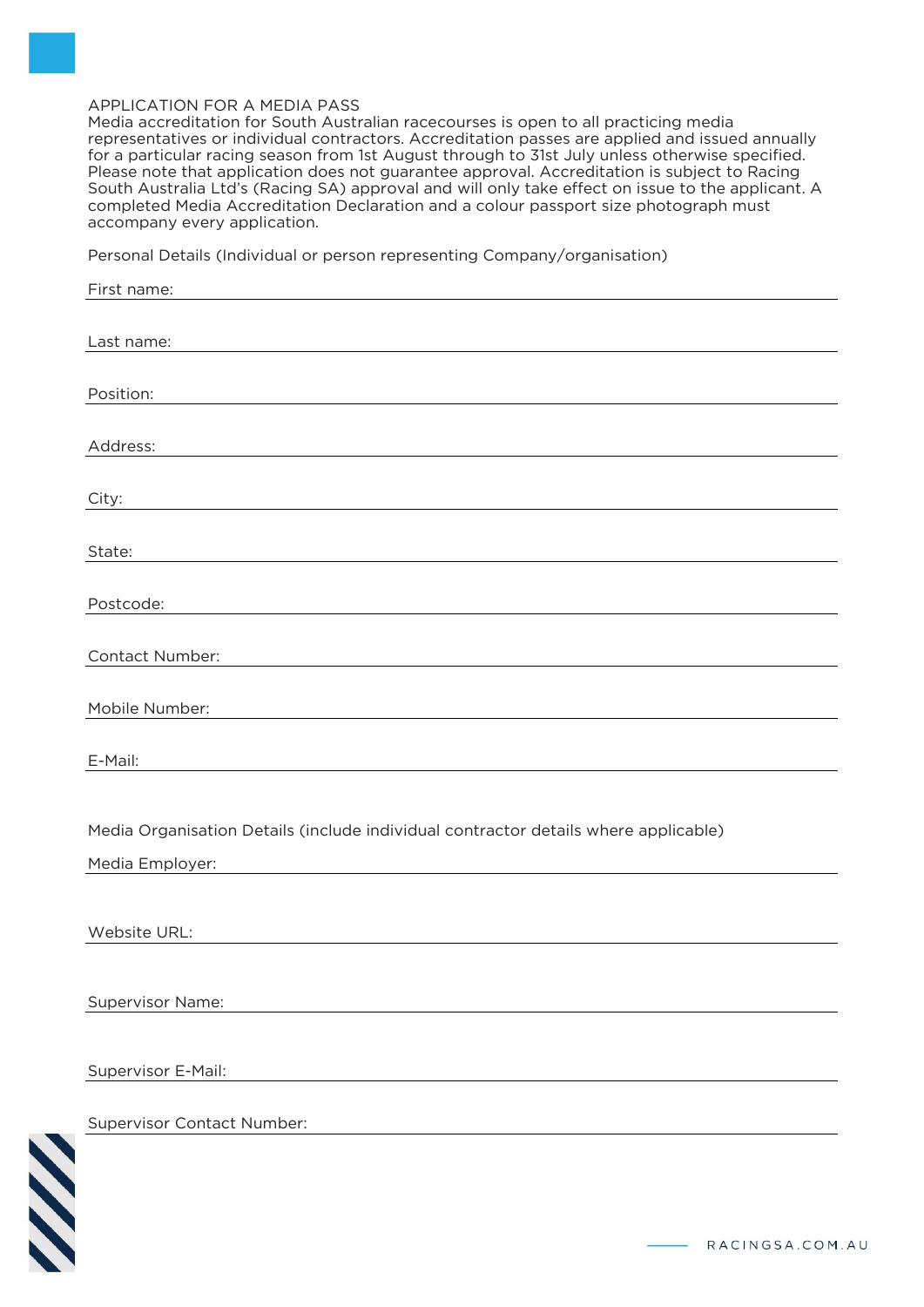#### APPLICATION FOR A MEDIA PASS

Media accreditation for South Australian racecourses is open to all practicing media representatives or individual contractors. Accreditation passes are applied and issued annually for a particular racing season from 1st August through to 31st July unless otherwise specified. Please note that application does not guarantee approval. Accreditation is subject to Racing South Australia Ltd's (Racing SA) approval and will only take effect on issue to the applicant. A completed Media Accreditation Declaration and a colour passport size photograph must accompany every application.

Personal Details (Individual or person representing Company/organisation)

| Last name:                        |                                                                                     |
|-----------------------------------|-------------------------------------------------------------------------------------|
| Position:                         |                                                                                     |
|                                   |                                                                                     |
| Address:                          |                                                                                     |
| City:                             |                                                                                     |
|                                   |                                                                                     |
| State:                            |                                                                                     |
| Postcode:                         |                                                                                     |
|                                   |                                                                                     |
| Contact Number:                   |                                                                                     |
| Mobile Number:                    |                                                                                     |
|                                   |                                                                                     |
| E-Mail:                           |                                                                                     |
|                                   |                                                                                     |
|                                   | Media Organisation Details (include individual contractor details where applicable) |
|                                   |                                                                                     |
| Media Employer:                   |                                                                                     |
|                                   |                                                                                     |
| Website URL:                      |                                                                                     |
|                                   |                                                                                     |
|                                   |                                                                                     |
| Supervisor Name:                  |                                                                                     |
|                                   |                                                                                     |
| Supervisor E-Mail:                |                                                                                     |
| <b>Supervisor Contact Number:</b> |                                                                                     |
|                                   |                                                                                     |
|                                   |                                                                                     |
|                                   |                                                                                     |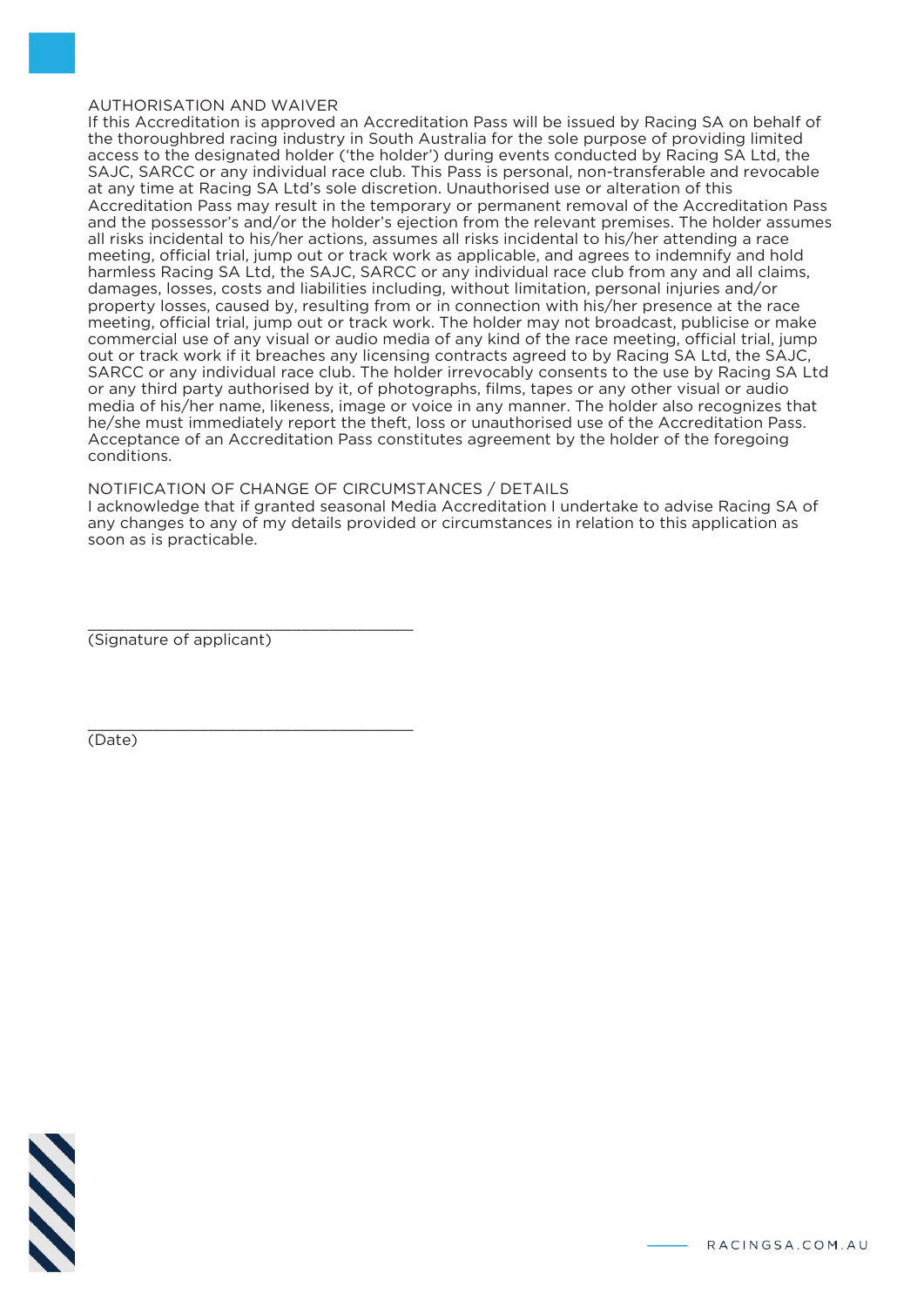#### AUTHORISATION AND WAIVER

If this Accreditation is approved an Accreditation Pass will be issued by Racing SA on behalf of the thoroughbred racing industry in South Australia for the sole purpose of providing limited access to the designated holder ('the holder') during events conducted by Racing SA Ltd, the SAJC, SARCC or any individual race club. This Pass is personal, non-transferable and revocable at any time at Racing SA Ltd's sole discretion. Unauthorised use or alteration of this Accreditation Pass may result in the temporary or permanent removal of the Accreditation Pass and the possessor's and/or the holder's ejection from the relevant premises. The holder assumes all risks incidental to his/her actions, assumes all risks incidental to his/her attending a race meeting, official trial, jump out or track work as applicable, and agrees to indemnify and hold harmless Racing SA Ltd, the SAJC, SARCC or any individual race club from any and all claims, damages, losses, costs and liabilities including, without limitation, personal injuries and/or property losses, caused by, resulting from or in connection with his/her presence at the race meeting, official trial, jump out or track work. The holder may not broadcast, publicise or make commercial use of any visual or audio media of any kind of the race meeting, official trial, jump out or track work if it breaches any licensing contracts agreed to by Racing SA Ltd, the SAJC, SARCC or any individual race club. The holder irrevocably consents to the use by Racing SA Ltd or any third party authorised by it, of photographs, films, tapes or any other visual or audio media of his/her name, likeness, image or voice in any manner. The holder also recognizes that he/she must immediately report the theft, loss or unauthorised use of the Accreditation Pass. Acceptance of an Accreditation Pass constitutes agreement by the holder of the foregoing conditions.

## NOTIFICATION OF CHANGE OF CIRCUMSTANCES / DETAILS

I acknowledge that if granted seasonal Media Accreditation I undertake to advise Racing SA of any changes to any of my details provided or circumstances in relation to this application as soon as is practicable.

\_\_\_\_\_\_\_\_\_\_\_\_\_\_\_\_\_\_\_\_\_\_\_\_\_\_\_\_\_\_\_\_\_\_\_ (Signature of applicant)

\_\_\_\_\_\_\_\_\_\_\_\_\_\_\_\_\_\_\_\_\_\_\_\_\_\_\_\_\_\_\_\_\_\_\_

(Date)

$$
\mathcal{N}\mathcal{N}
$$

RACINGSA.COM.AU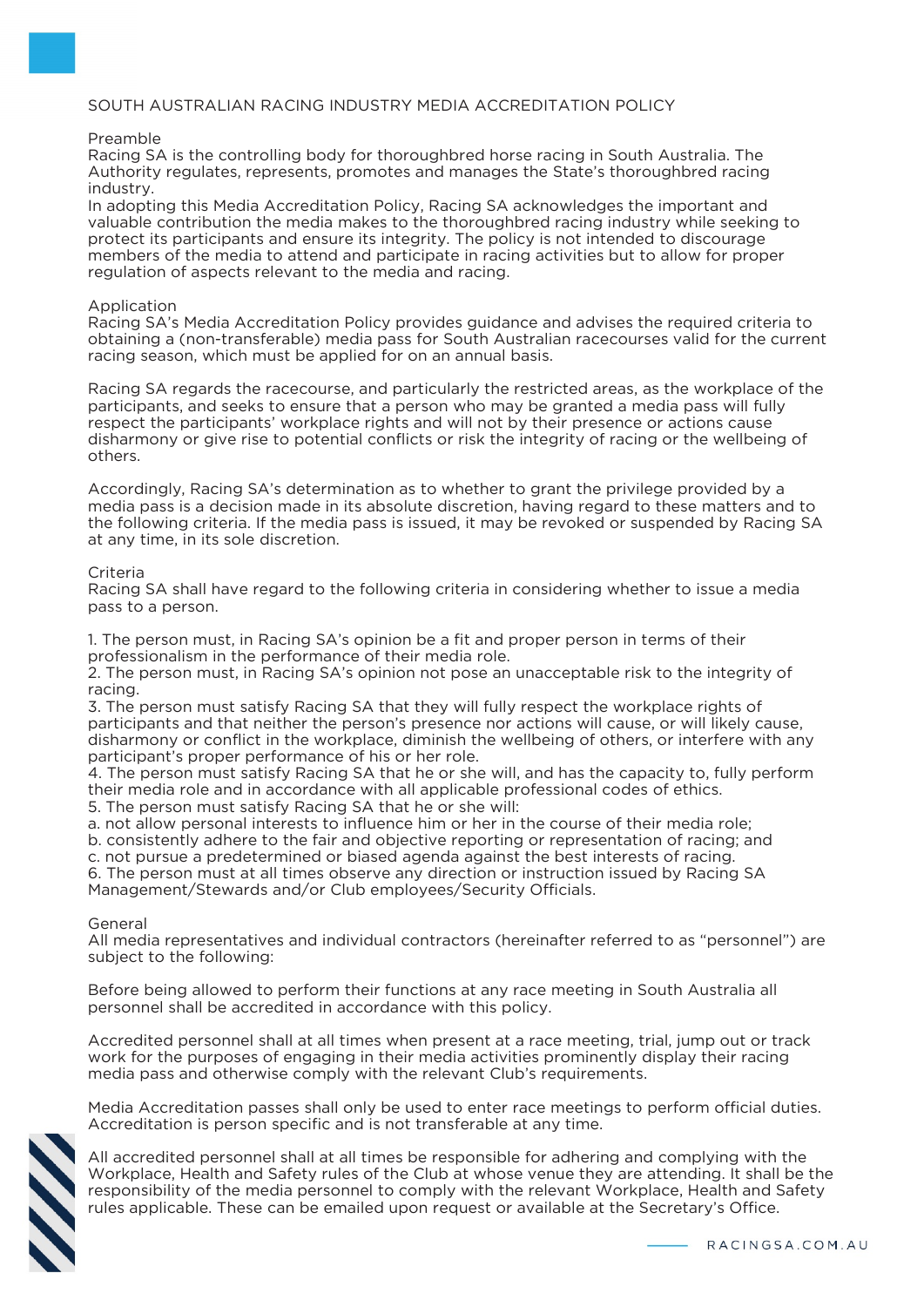### SOUTH AUSTRALIAN RACING INDUSTRY MEDIA ACCREDITATION POLICY

#### Preamble

Racing SA is the controlling body for thoroughbred horse racing in South Australia. The Authority regulates, represents, promotes and manages the State's thoroughbred racing industry.

In adopting this Media Accreditation Policy, Racing SA acknowledges the important and valuable contribution the media makes to the thoroughbred racing industry while seeking to protect its participants and ensure its integrity. The policy is not intended to discourage members of the media to attend and participate in racing activities but to allow for proper regulation of aspects relevant to the media and racing.

#### Application

Racing SA's Media Accreditation Policy provides guidance and advises the required criteria to obtaining a (non-transferable) media pass for South Australian racecourses valid for the current racing season, which must be applied for on an annual basis.

Racing SA regards the racecourse, and particularly the restricted areas, as the workplace of the participants, and seeks to ensure that a person who may be granted a media pass will fully respect the participants' workplace rights and will not by their presence or actions cause disharmony or give rise to potential conflicts or risk the integrity of racing or the wellbeing of others.

Accordingly, Racing SA's determination as to whether to grant the privilege provided by a media pass is a decision made in its absolute discretion, having regard to these matters and to the following criteria. If the media pass is issued, it may be revoked or suspended by Racing SA at any time, in its sole discretion.

#### Criteria

Racing SA shall have regard to the following criteria in considering whether to issue a media pass to a person.

1. The person must, in Racing SA's opinion be a fit and proper person in terms of their professionalism in the performance of their media role.

2. The person must, in Racing SA's opinion not pose an unacceptable risk to the integrity of racing.

3. The person must satisfy Racing SA that they will fully respect the workplace rights of participants and that neither the person's presence nor actions will cause, or will likely cause, disharmony or conflict in the workplace, diminish the wellbeing of others, or interfere with any participant's proper performance of his or her role.

4. The person must satisfy Racing SA that he or she will, and has the capacity to, fully perform their media role and in accordance with all applicable professional codes of ethics.

5. The person must satisfy Racing SA that he or she will:

a. not allow personal interests to influence him or her in the course of their media role;

b. consistently adhere to the fair and objective reporting or representation of racing; and

c. not pursue a predetermined or biased agenda against the best interests of racing.

6. The person must at all times observe any direction or instruction issued by Racing SA Management/Stewards and/or Club employees/Security Officials.

General

All media representatives and individual contractors (hereinafter referred to as "personnel") are subject to the following:

Before being allowed to perform their functions at any race meeting in South Australia all personnel shall be accredited in accordance with this policy.

Accredited personnel shall at all times when present at a race meeting, trial, jump out or track work for the purposes of engaging in their media activities prominently display their racing media pass and otherwise comply with the relevant Club's requirements.

Media Accreditation passes shall only be used to enter race meetings to perform official duties. Accreditation is person specific and is not transferable at any time.



All accredited personnel shall at all times be responsible for adhering and complying with the Workplace, Health and Safety rules of the Club at whose venue they are attending. It shall be the responsibility of the media personnel to comply with the relevant Workplace, Health and Safety rules applicable. These can be emailed upon request or available at the Secretary's Office.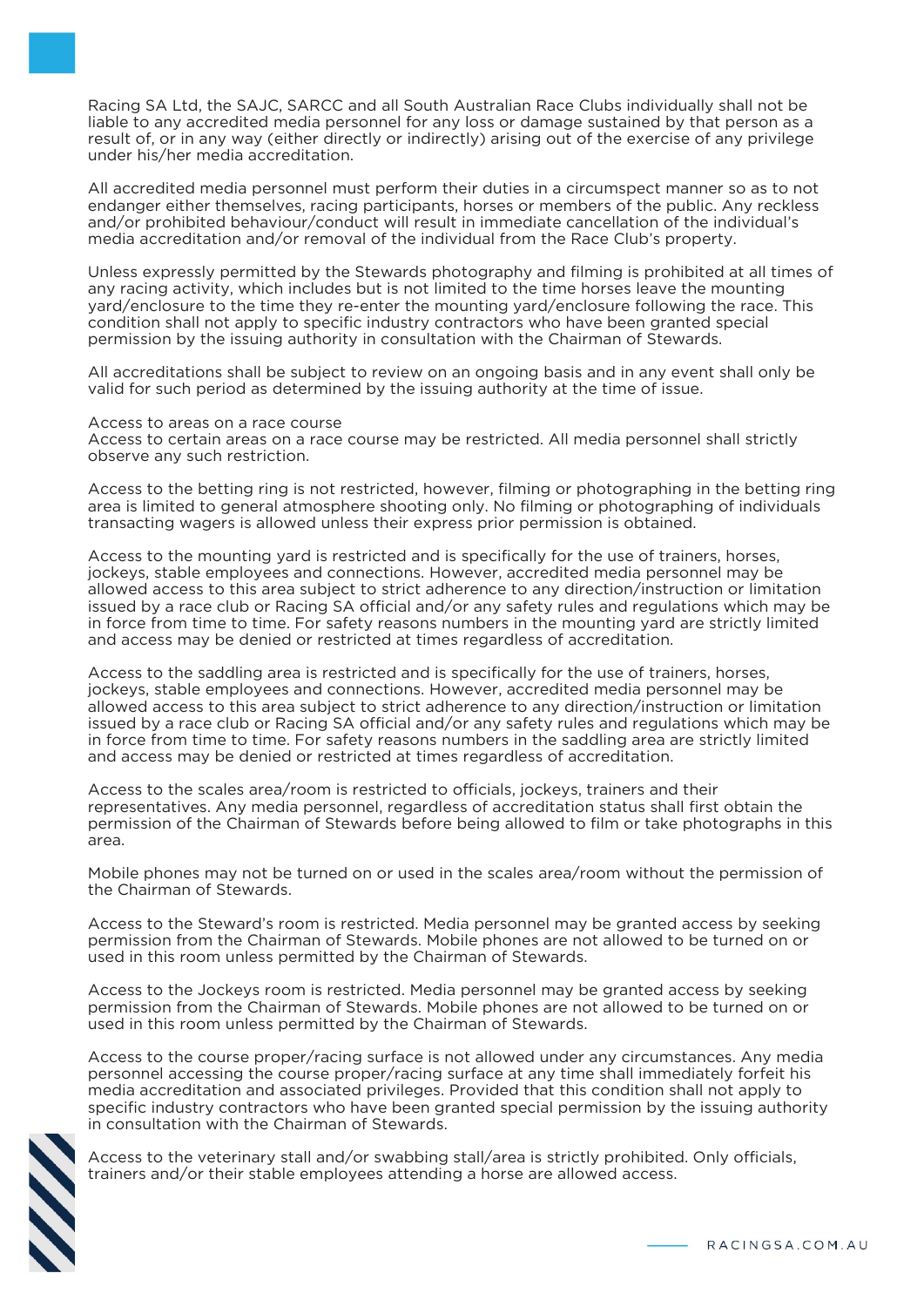Racing SA Ltd, the SAJC, SARCC and all South Australian Race Clubs individually shall not be liable to any accredited media personnel for any loss or damage sustained by that person as a result of, or in any way (either directly or indirectly) arising out of the exercise of any privilege under his/her media accreditation.

All accredited media personnel must perform their duties in a circumspect manner so as to not endanger either themselves, racing participants, horses or members of the public. Any reckless and/or prohibited behaviour/conduct will result in immediate cancellation of the individual's media accreditation and/or removal of the individual from the Race Club's property.

Unless expressly permitted by the Stewards photography and filming is prohibited at all times of any racing activity, which includes but is not limited to the time horses leave the mounting yard/enclosure to the time they re-enter the mounting yard/enclosure following the race. This condition shall not apply to specific industry contractors who have been granted special permission by the issuing authority in consultation with the Chairman of Stewards.

All accreditations shall be subject to review on an ongoing basis and in any event shall only be valid for such period as determined by the issuing authority at the time of issue.

Access to areas on a race course

Access to certain areas on a race course may be restricted. All media personnel shall strictly observe any such restriction.

Access to the betting ring is not restricted, however, filming or photographing in the betting ring area is limited to general atmosphere shooting only. No filming or photographing of individuals transacting wagers is allowed unless their express prior permission is obtained.

Access to the mounting yard is restricted and is specifically for the use of trainers, horses, jockeys, stable employees and connections. However, accredited media personnel may be allowed access to this area subject to strict adherence to any direction/instruction or limitation issued by a race club or Racing SA official and/or any safety rules and regulations which may be in force from time to time. For safety reasons numbers in the mounting yard are strictly limited and access may be denied or restricted at times regardless of accreditation.

Access to the saddling area is restricted and is specifically for the use of trainers, horses, jockeys, stable employees and connections. However, accredited media personnel may be allowed access to this area subject to strict adherence to any direction/instruction or limitation issued by a race club or Racing SA official and/or any safety rules and regulations which may be in force from time to time. For safety reasons numbers in the saddling area are strictly limited and access may be denied or restricted at times regardless of accreditation.

Access to the scales area/room is restricted to officials, jockeys, trainers and their representatives. Any media personnel, regardless of accreditation status shall first obtain the permission of the Chairman of Stewards before being allowed to film or take photographs in this area.

Mobile phones may not be turned on or used in the scales area/room without the permission of the Chairman of Stewards.

Access to the Steward's room is restricted. Media personnel may be granted access by seeking permission from the Chairman of Stewards. Mobile phones are not allowed to be turned on or used in this room unless permitted by the Chairman of Stewards.

Access to the Jockeys room is restricted. Media personnel may be granted access by seeking permission from the Chairman of Stewards. Mobile phones are not allowed to be turned on or used in this room unless permitted by the Chairman of Stewards.

Access to the course proper/racing surface is not allowed under any circumstances. Any media personnel accessing the course proper/racing surface at any time shall immediately forfeit his media accreditation and associated privileges. Provided that this condition shall not apply to specific industry contractors who have been granted special permission by the issuing authority in consultation with the Chairman of Stewards.



Access to the veterinary stall and/or swabbing stall/area is strictly prohibited. Only officials, trainers and/or their stable employees attending a horse are allowed access.